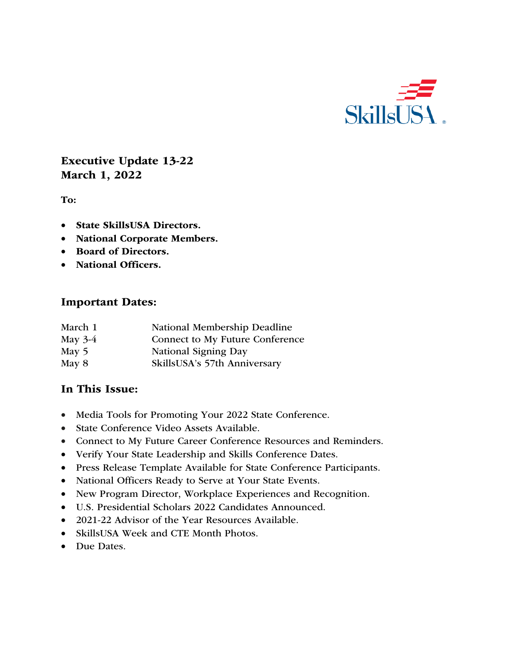

# Executive Update 13-22 March 1, 2022

To:

- State SkillsUSA Directors.
- National Corporate Members.
- Board of Directors.
- National Officers.

#### Important Dates:

| March 1   | National Membership Deadline    |
|-----------|---------------------------------|
| May $3-4$ | Connect to My Future Conference |
| May $5$   | National Signing Day            |
| May 8     | SkillsUSA's 57th Anniversary    |

### In This Issue:

- Media Tools for Promoting Your 2022 State Conference.
- State Conference Video Assets Available.
- Connect to My Future Career Conference Resources and Reminders.
- Verify Your State Leadership and Skills Conference Dates.
- Press Release Template Available for State Conference Participants.
- National Officers Ready to Serve at Your State Events.
- New Program Director, Workplace Experiences and Recognition.
- U.S. Presidential Scholars 2022 Candidates Announced.
- 2021-22 Advisor of the Year Resources Available.
- SkillsUSA Week and CTE Month Photos.
- Due Dates.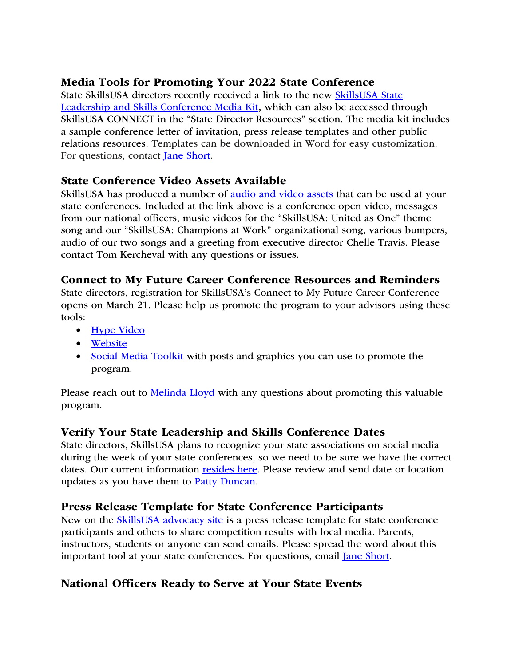# Media Tools for Promoting Your 2022 State Conference

State SkillsUSA directors recently received a link to the new SkillsUSA State Leadership and Skills Conference Media Kit, which can also be accessed through SkillsUSA CONNECT in the "State Director Resources" section. The media kit includes a sample conference letter of invitation, press release templates and other public relations resources. Templates can be downloaded in Word for easy customization. For questions, contact Jane Short.

### State Conference Video Assets Available

SkillsUSA has produced a number of audio and video assets that can be used at your state conferences. Included at the link above is a conference open video, messages from our national officers, music videos for the "SkillsUSA: United as One" theme song and our "SkillsUSA: Champions at Work" organizational song, various bumpers, audio of our two songs and a greeting from executive director Chelle Travis. Please contact Tom Kercheval with any questions or issues.

### Connect to My Future Career Conference Resources and Reminders

State directors, registration for SkillsUSA's Connect to My Future Career Conference opens on March 21. Please help us promote the program to your advisors using these tools:

- Hype Video
- Website
- Social Media Toolkit with posts and graphics you can use to promote the program.

Please reach out to **Melinda Lloyd** with any questions about promoting this valuable program.

# Verify Your State Leadership and Skills Conference Dates

State directors, SkillsUSA plans to recognize your state associations on social media during the week of your state conferences, so we need to be sure we have the correct dates. Our current information resides here. Please review and send date or location updates as you have them to Patty Duncan.

# Press Release Template for State Conference Participants

New on the **SkillsUSA** advocacy site is a press release template for state conference participants and others to share competition results with local media. Parents, instructors, students or anyone can send emails. Please spread the word about this important tool at your state conferences. For questions, email Jane Short.

# National Officers Ready to Serve at Your State Events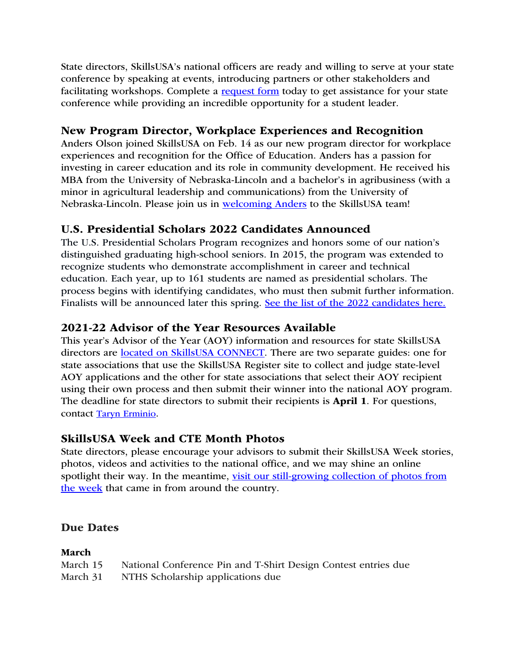State directors, SkillsUSA's national officers are ready and willing to serve at your state conference by speaking at events, introducing partners or other stakeholders and facilitating workshops. Complete a request form today to get assistance for your state conference while providing an incredible opportunity for a student leader.

# New Program Director, Workplace Experiences and Recognition

Anders Olson joined SkillsUSA on Feb. 14 as our new program director for workplace experiences and recognition for the Office of Education. Anders has a passion for investing in career education and its role in community development. He received his MBA from the University of Nebraska-Lincoln and a bachelor's in agribusiness (with a minor in agricultural leadership and communications) from the University of Nebraska-Lincoln. Please join us in welcoming Anders to the SkillsUSA team!

# U.S. Presidential Scholars 2022 Candidates Announced

The U.S. Presidential Scholars Program recognizes and honors some of our nation's distinguished graduating high-school seniors. In 2015, the program was extended to recognize students who demonstrate accomplishment in career and technical education. Each year, up to 161 students are named as presidential scholars. The process begins with identifying candidates, who must then submit further information. Finalists will be announced later this spring. See the list of the 2022 candidates here.

# 2021-22 Advisor of the Year Resources Available

This year's Advisor of the Year (AOY) information and resources for state SkillsUSA directors are located on SkillsUSA CONNECT. There are two separate guides: one for state associations that use the SkillsUSA Register site to collect and judge state-level AOY applications and the other for state associations that select their AOY recipient using their own process and then submit their winner into the national AOY program. The deadline for state directors to submit their recipients is **April 1**. For questions, contact Taryn Erminio.

# SkillsUSA Week and CTE Month Photos

State directors, please encourage your advisors to submit their SkillsUSA Week stories, photos, videos and activities to the national office, and we may shine an online spotlight their way. In the meantime, visit our still-growing collection of photos from the week that came in from around the country.

### Due Dates

### March

| March 15 | National Conference Pin and T-Shirt Design Contest entries due |
|----------|----------------------------------------------------------------|
| March 31 | NTHS Scholarship applications due                              |